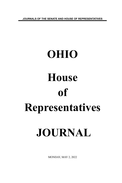**JOURNALS OF THE SENATE AND HOUSE OF REPRESENTATIVES**

## **OHIO House of Representatives JOURNAL**

MONDAY, MAY 2, 2022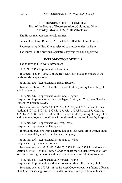## ONE HUNDRED FIFTY-SECOND DAY Hall of the House of Representatives, Columbus, Ohio **Monday, May 2, 2022, 9:00 o'clock a.m.**

The House met pursuant to adjournment.

Pursuant to House Rule No. 23, the Clerk called the House to order.

Representative Miller, K. was selected to preside under the Rule.

The journal of the previous legislative day was read and approved.

## **INTRODUCTION OF BILLS**

The following bills were introduced:

**H. B. No. 635 -** Representative Lampton.

To amend section 1901.08 of the Revised Code to add one judge to the Fairborn Municipal Court.

**H. B. No. 636 -** Representative Hicks-Hudson.

To enact section 1923.111 of the Revised Code regarding the sealing of eviction records.

**H. B. No. 637 -** Representatives Skindell, Ingram.

Cosponsors: Representatives Lepore-Hagan, Smith, K., Crossman, Sheehy, Denson, Weinstein, Davis.

To amend sections 3727.50, 3727.51, 3727.52, and 3727.53 and to enact sections 3727.80, 3727.81, 3727.82, 3727.83, 3727.84, 3727.85, 3727.86, 3727.87, 3727.88, and 3727.89 of the Revised Code regarding staffing ratios and other employment conditions for registered nurses employed by hospitals.

**H. B. No. 638 -** Representatives West, Davis. Cosponsor: Representative Humphrey.

To prohibit creditors from charging late fees that result from United States postal service delays and to declare an emergency.

**H. B. No. 639 -** Representatives Young, T., White. Cosponsor: Representative Jordan.

To amend sections 3313.603, 3314.03, 3326.11, and 3328.24 and to enact section 3319.2310 of the Revised Code to enact the "Student Protection Act" to require that high school health instruction include self-defense training.

**H. B. No. 640 -** Representatives Grendell, Young, T. Cosponsors: Representatives Merrin, Johnson, Miller, K., Jordan, Hall.

To amend section 2929.18 of the Revised Code to require a felony offender of an OVI-caused aggravated vehicular homicide to pay child maintenance